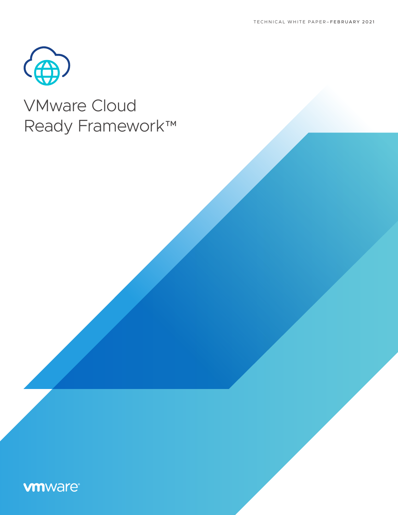

# VMware Cloud Ready Framework™

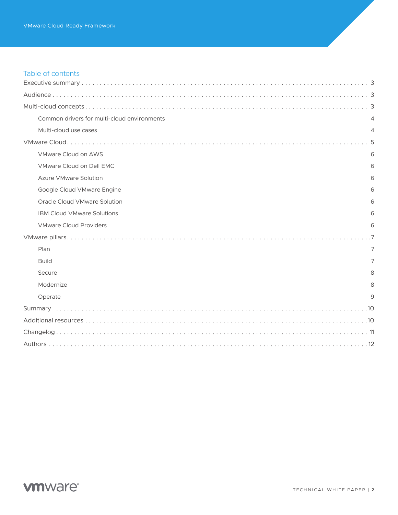# Table of contents

| Common drivers for multi-cloud environments | 4              |  |
|---------------------------------------------|----------------|--|
| Multi-cloud use cases                       | 4              |  |
|                                             |                |  |
| VMware Cloud on AWS                         | 6              |  |
| VMware Cloud on Dell EMC                    | 6              |  |
| <b>Azure VMware Solution</b>                | 6              |  |
| Google Cloud VMware Engine                  | 6              |  |
| Oracle Cloud VMware Solution                | 6              |  |
| <b>IBM Cloud VMware Solutions</b>           | 6              |  |
| <b>VMware Cloud Providers</b>               | 6              |  |
|                                             |                |  |
| Plan                                        | $\overline{7}$ |  |
| <b>Build</b>                                | 7              |  |
| Secure                                      | 8              |  |
| Modernize                                   | 8              |  |
| Operate                                     | 9              |  |
|                                             |                |  |
|                                             |                |  |
|                                             |                |  |
|                                             |                |  |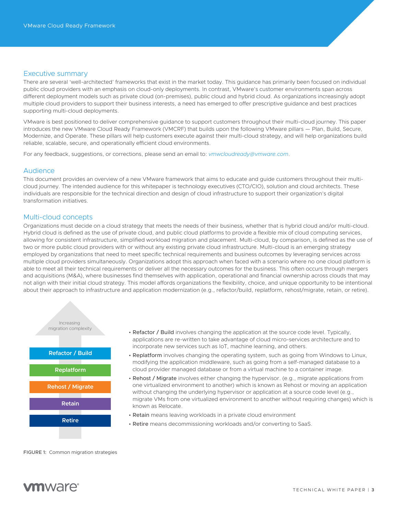# <span id="page-2-0"></span>Executive summary

There are several 'well-architected' frameworks that exist in the market today. This guidance has primarily been focused on individual public cloud providers with an emphasis on cloud-only deployments. In contrast, VMware's customer environments span across different deployment models such as private cloud (on-premises), public cloud and hybrid cloud. As organizations increasingly adopt multiple cloud providers to support their business interests, a need has emerged to offer prescriptive guidance and best practices supporting multi-cloud deployments.

VMware is best positioned to deliver comprehensive guidance to support customers throughout their multi-cloud journey. This paper introduces the new VMware Cloud Ready Framework (VMCRF) that builds upon the following VMware pillars — Plan, Build, Secure, Modernize, and Operate. These pillars will help customers execute against their multi-cloud strategy, and will help organizations build reliable, scalable, secure, and operationally efficient cloud environments.

For any feedback, suggestions, or corrections, please send an email to: *[vmwcloudready@vmware.com](mailto:vmwcloudready%40vmware.com?subject=)*.

# Audience

This document provides an overview of a new VMware framework that aims to educate and guide customers throughout their multicloud journey. The intended audience for this whitepaper is technology executives (CTO/CIO), solution and cloud architects. These individuals are responsible for the technical direction and design of cloud infrastructure to support their organization's digital transformation initiatives.

# Multi-cloud concepts

Organizations must decide on a cloud strategy that meets the needs of their business, whether that is hybrid cloud and/or multi-cloud. Hybrid cloud is defined as the use of private cloud, and public cloud platforms to provide a flexible mix of cloud computing services, allowing for consistent infrastructure, simplified workload migration and placement. Multi-cloud, by comparison, is defined as the use of two or more public cloud providers with or without any existing private cloud infrastructure. Multi-cloud is an emerging strategy employed by organizations that need to meet specific technical requirements and business outcomes by leveraging services across multiple cloud providers simultaneously. Organizations adopt this approach when faced with a scenario where no one cloud platform is able to meet all their technical requirements or deliver all the necessary outcomes for the business. This often occurs through mergers and acquisitions (M&A), where businesses find themselves with application, operational and financial ownership across clouds that may not align with their initial cloud strategy. This model affords organizations the flexibility, choice, and unique opportunity to be intentional about their approach to infrastructure and application modernization (e.g., refactor/build, replatform, rehost/migrate, retain, or retire).



- Refactor / Build involves changing the application at the source code level. Typically, applications are re-written to take advantage of cloud micro-services architecture and to incorporate new services such as IoT, machine learning, and others.
- Replatform involves changing the operating system, such as going from Windows to Linux, modifying the application middleware, such as going from a self-managed database to a cloud provider managed database or from a virtual machine to a container image.
- Rehost / Migrate involves either changing the hypervisor. (e.g., migrate applications from one virtualized environment to another) which is known as Rehost or moving an application without changing the underlying hypervisor or application at a source code level (e.g., migrate VMs from one virtualized environment to another without requiring changes) which is known as Relocate.
- Retain means leaving workloads in a private cloud environment
- Retire means decommissioning workloads and/or converting to SaaS.

FIGURE 1: Common migration strategies

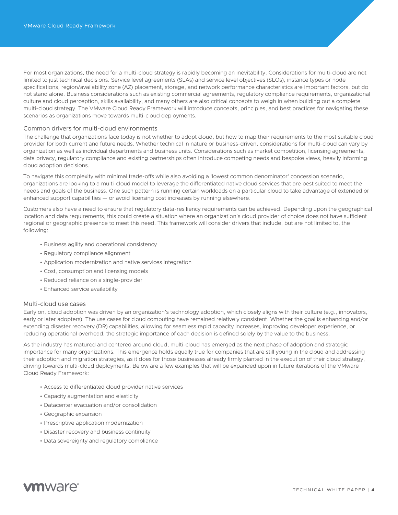<span id="page-3-0"></span>For most organizations, the need for a multi-cloud strategy is rapidly becoming an inevitability. Considerations for multi-cloud are not limited to just technical decisions. Service level agreements (SLAs) and service level objectives (SLOs), instance types or node specifications, region/availability zone (AZ) placement, storage, and network performance characteristics are important factors, but do not stand alone. Business considerations such as existing commercial agreements, regulatory compliance requirements, organizational culture and cloud perception, skills availability, and many others are also critical concepts to weigh in when building out a complete multi-cloud strategy. The VMware Cloud Ready Framework will introduce concepts, principles, and best practices for navigating these scenarios as organizations move towards multi-cloud deployments.

# Common drivers for multi-cloud environments

The challenge that organizations face today is not whether to adopt cloud, but how to map their requirements to the most suitable cloud provider for both current and future needs. Whether technical in nature or business-driven, considerations for multi-cloud can vary by organization as well as individual departments and business units. Considerations such as market competition, licensing agreements, data privacy, regulatory compliance and existing partnerships often introduce competing needs and bespoke views, heavily informing cloud adoption decisions.

To navigate this complexity with minimal trade-offs while also avoiding a 'lowest common denominator' concession scenario, organizations are looking to a multi-cloud model to leverage the differentiated native cloud services that are best suited to meet the needs and goals of the business. One such pattern is running certain workloads on a particular cloud to take advantage of extended or enhanced support capabilities — or avoid licensing cost increases by running elsewhere.

Customers also have a need to ensure that regulatory data-resiliency requirements can be achieved. Depending upon the geographical location and data requirements, this could create a situation where an organization's cloud provider of choice does not have sufficient regional or geographic presence to meet this need. This framework will consider drivers that include, but are not limited to, the following:

- Business agility and operational consistency
- Regulatory compliance alignment
- Application modernization and native services integration
- Cost, consumption and licensing models
- Reduced reliance on a single-provider
- Enhanced service availability

# Multi-cloud use cases

Early on, cloud adoption was driven by an organization's technology adoption, which closely aligns with their culture (e.g., innovators, early or later adopters). The use cases for cloud computing have remained relatively consistent. Whether the goal is enhancing and/or extending disaster recovery (DR) capabilities, allowing for seamless rapid capacity increases, improving developer experience, or reducing operational overhead, the strategic importance of each decision is defined solely by the value to the business.

As the industry has matured and centered around cloud, multi-cloud has emerged as the next phase of adoption and strategic importance for many organizations. This emergence holds equally true for companies that are still young in the cloud and addressing their adoption and migration strategies, as it does for those businesses already firmly planted in the execution of their cloud strategy, driving towards multi-cloud deployments. Below are a few examples that will be expanded upon in future iterations of the VMware Cloud Ready Framework:

- Access to differentiated cloud provider native services
- Capacity augmentation and elasticity
- Datacenter evacuation and/or consolidation
- Geographic expansion
- Prescriptive application modernization
- Disaster recovery and business continuity
- Data sovereignty and regulatory compliance

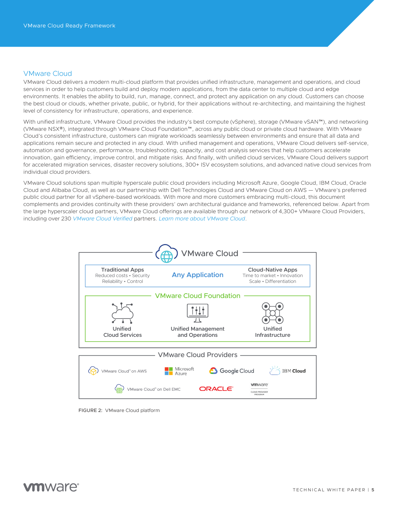# <span id="page-4-0"></span>VMware Cloud

VMware Cloud delivers a modern multi-cloud platform that provides unified infrastructure, management and operations, and cloud services in order to help customers build and deploy modern applications, from the data center to multiple cloud and edge environments. It enables the ability to build, run, manage, connect, and protect any application on any cloud. Customers can choose the best cloud or clouds, whether private, public, or hybrid, for their applications without re-architecting, and maintaining the highest level of consistency for infrastructure, operations, and experience.

With unified infrastructure, VMware Cloud provides the industry's best compute (vSphere), storage (VMware vSAN™), and networking (VMware NSX®), integrated through VMware Cloud Foundation™, across any public cloud or private cloud hardware. With VMware Cloud's consistent infrastructure, customers can migrate workloads seamlessly between environments and ensure that all data and applications remain secure and protected in any cloud. With unified management and operations, VMware Cloud delivers self-service, automation and governance, performance, troubleshooting, capacity, and cost analysis services that help customers accelerate innovation, gain efficiency, improve control, and mitigate risks. And finally, with unified cloud services, VMware Cloud delivers support for accelerated migration services, disaster recovery solutions, 300+ ISV ecosystem solutions, and advanced native cloud services from individual cloud providers.

VMware Cloud solutions span multiple hyperscale public cloud providers including Microsoft Azure, Google Cloud, IBM Cloud, Oracle Cloud and Alibaba Cloud, as well as our partnership with Dell Technologies Cloud and VMware Cloud on AWS — VMware's preferred public cloud partner for all vSphere-based workloads. With more and more customers embracing multi-cloud, this document complements and provides continuity with these providers' own architectural guidance and frameworks, referenced below. Apart from the large hyperscaler cloud partners, VMware Cloud offerings are available through our network of 4,300+ VMware Cloud Providers, including over 230 *[VMware Cloud Verified](https://cloud.vmware.com/providers/vmware-cloud-verified)* partners. *[Learn more about VMware Cloud](https://cloud.vmware.com/)*.



FIGURE 2: VMware Cloud platform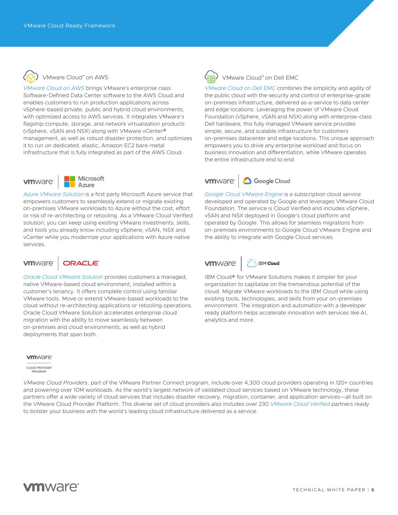<span id="page-5-0"></span>

# VMware Cloud" on AWS

*[VMware Cloud on AWS](https://cloud.vmware.com/vmc-aws)* brings VMware's enterprise class Software-Defined Data Center software to the AWS Cloud and enables customers to run production applications across vSphere-based private, public and hybrid cloud environments, with optimized access to AWS services. It integrates VMware's flagship compute, storage, and network virtualization products (vSphere, vSAN and NSX) along with VMware vCenter® management, as well as robust disaster protection, and optimizes it to run on dedicated, elastic, Amazon EC2 bare-metal infrastructure that is fully integrated as part of the AWS Cloud.



Microsoft Azure

*[Azure VMware Solution](https://cloud.vmware.com/azure-vmware-solution)* is a first party Microsoft Azure service that empowers customers to seamlessly extend or migrate existing on-premises VMware workloads to Azure without the cost, effort or risk of re-architecting or retooling. As a VMware Cloud Verified solution, you can keep using existing VMware investments, skills, and tools you already know including vSphere, vSAN, NSX and vCenter while you modernize your applications with Azure native services.

#### **vm**ware<sup>®</sup> **DRACLE**

*[Oracle Cloud VMware Solution](https://cloud.vmware.com/oracle-cloud)* provides customers a managed, native VMware-based cloud environment, installed within a customer's tenancy. It offers complete control using familiar VMware tools. Move or extend VMware-based workloads to the cloud without re-architecting applications or retooling operations. Oracle Cloud VMware Solution accelerates enterprise cloud migration with the ability to move seamlessly between on-premises and cloud environments, as well as hybrid deployments that span both.

### **vm**ware

**CLOUD PROVIDER** PROGRAM

*VMware Cloud Providers*, part of the VMware Partner Connect program, include over 4,300 cloud providers operating in 120+ countries and powering over 10M workloads. As the world's largest network of validated cloud services based on VMware technology, these partners offer a wide variety of cloud services that includes disaster recovery, migration, container, and application services—all built on the VMware Cloud Provider Platform. This diverse set of cloud providers also includes over 230 *[VMware Cloud Verified](https://cloud.vmware.com/providers/vmware-cloud-verified)* partners ready to bolster your business with the world's leading cloud infrastructure delivered as a service.



VMware Cloud" on Dell EMC

*[VMware Cloud on Dell EMC](https://www.vmware.com/products/vmc-on-dell-emc.html)* combines the simplicity and agility of the public cloud with the security and control of enterprise-grade on-premises infrastructure, delivered as-a-service to data center and edge locations. Leveraging the power of VMware Cloud Foundation (vSphere, vSAN and NSX) along with enterprise-class Dell hardware, this fully managed VMware service provides simple, secure, and scalable infrastructure for customers on-premises datacenter and edge locations. This unique approach empowers you to drive any enterprise workload and focus on business innovation and differentiation, while VMware operates the entire infrastructure end to end.

#### **6** Google Cloud **vm**ware<sup>®</sup>

*[Google Cloud VMware Engine](https://cloud.vmware.com/google-cloud)* is a subscription cloud service developed and operated by Google and leverages VMware Cloud Foundation. The service is Cloud Verified and includes vSphere, vSAN and NSX deployed in Google's cloud platform and operated by Google. This allows for seamless migrations from on-premises environments to Google Cloud VMware Engine and the ability to integrate with Google Cloud services.

#### **vm**ware **STRM Cloud**

IBM Cloud® for VMware Solutions makes it simpler for your organization to capitalize on the tremendous potential of the cloud. Migrate VMware workloads to the IBM Cloud while using existing tools, technologies, and skills from your on-premises environment. The integration and automation with a developer ready platform helps accelerate innovation with services like AI, analytics and more.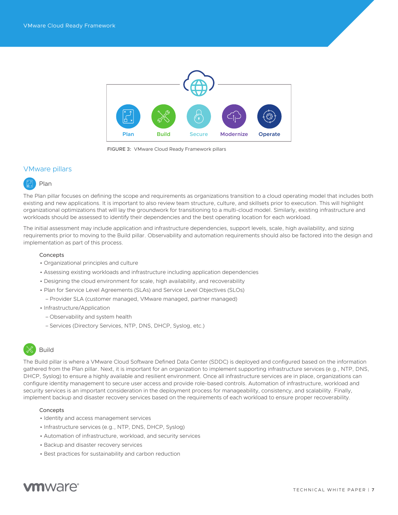<span id="page-6-0"></span>

FIGURE 3: VMware Cloud Ready Framework pillars

# VMware pillars



The Plan pillar focuses on defining the scope and requirements as organizations transition to a cloud operating model that includes both existing and new applications. It is important to also review team structure, culture, and skillsets prior to execution. This will highlight organizational optimizations that will lay the groundwork for transitioning to a multi-cloud model. Similarly, existing infrastructure and workloads should be assessed to identify their dependencies and the best operating location for each workload.

The initial assessment may include application and infrastructure dependencies, support levels, scale, high availability, and sizing requirements prior to moving to the Build pillar. Observability and automation requirements should also be factored into the design and implementation as part of this process.

### Concepts

- Organizational principles and culture
- Assessing existing workloads and infrastructure including application dependencies
- Designing the cloud environment for scale, high availability, and recoverability
- Plan for Service Level Agreements (SLAs) and Service Level Objectives (SLOs)
- Provider SLA (customer managed, VMware managed, partner managed)
- Infrastructure/Application
	- Observability and system health
	- Services (Directory Services, NTP, DNS, DHCP, Syslog, etc.)

# Build

The Build pillar is where a VMware Cloud Software Defined Data Center (SDDC) is deployed and configured based on the information gathered from the Plan pillar. Next, it is important for an organization to implement supporting infrastructure services (e.g., NTP, DNS, DHCP, Syslog) to ensure a highly available and resilient environment. Once all infrastructure services are in place, organizations can configure identity management to secure user access and provide role-based controls. Automation of infrastructure, workload and security services is an important consideration in the deployment process for manageability, consistency, and scalability. Finally, implement backup and disaster recovery services based on the requirements of each workload to ensure proper recoverability.

### **Concepts**

- Identity and access management services
- Infrastructure services (e.g., NTP, DNS, DHCP, Syslog)
- Automation of infrastructure, workload, and security services
- Backup and disaster recovery services
- Best practices for sustainability and carbon reduction

# **m**ware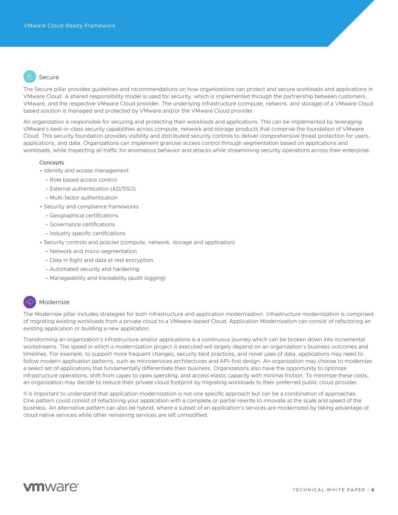<span id="page-7-0"></span>

The Secure pillar provides guidelines and recommendations on how organizations can protect and secure workloads and applications in VMware Cloud. A shared responsibility model is used for security, which is implemented through the partnership between customers, VMware, and the respective VMware Cloud provider. The underlying infrastructure (compute, network, and storage) of a VMware Cloud based solution is managed and protected by VMware and/or the VMware Cloud provider.

An organization is responsible for securing and protecting their workloads and applications. This can be implemented by leveraging VMware's best-in-class security capabilities across compute, network and storage products that comprise the foundation of VMware Cloud. This security foundation provides visibility and distributed security controls to deliver comprehensive threat protection for users, applications, and data. Organizations can implement granular access control through segmentation based on applications and workloads, while inspecting all traffic for anomalous behavior and attacks while streamlining security operations across their enterprise.

### **Concepts**

- Identity and access management
	- Role based access control
	- External authentication (AD/SSO)
	- Multi-factor authentication
- Security and compliance frameworks
	- Geographical certifications
	- Governance certifications
	- Industry specific certifications
- Security controls and policies (compute, network, storage and application)
	- Network and micro-segmentation
	- Data in flight and data at rest encryption
	- Automated security and hardening
	- Manageability and traceability (audit logging)

# Modernize

The Modernize pillar includes strategies for both infrastructure and application modernization. Infrastructure modernization is comprised of migrating existing workloads from a private cloud to a VMware-based Cloud. Application Modernization can consist of refactoring an existing application or building a new application.

Transforming an organization's infrastructure and/or applications is a continuous journey which can be broken down into incremental workstreams. The speed in which a modernization project is executed will largely depend on an organization's business outcomes and timelines. For example, to support more frequent changes, security best practices, and novel uses of data, applications may need to follow modern application patterns, such as microservices architectures and API-first design. An organization may choose to modernize a select set of applications that fundamentally differentiate their business. Organizations also have the opportunity to optimize infrastructure operations, shift from capex to opex spending, and access elastic capacity with minimal friction. To minimize these costs, an organization may decide to reduce their private cloud footprint by migrating workloads to their preferred public cloud provider.

It is important to understand that application modernization is not one specific approach but can be a combination of approaches. One pattern could consist of refactoring your application with a complete or partial rewrite to innovate at the scale and speed of the business. An alternative pattern can also be hybrid, where a subset of an application's services are modernized by taking advantage of cloud native services while other remaining services are left unmodified.

# *u***m**ware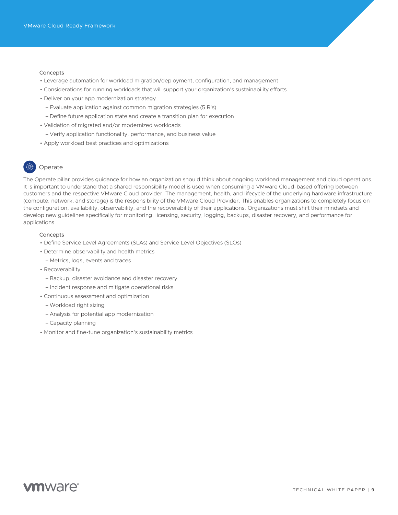### <span id="page-8-0"></span>Concepts

- Leverage automation for workload migration/deployment, configuration, and management
- Considerations for running workloads that will support your organization's sustainability efforts
- Deliver on your app modernization strategy
	- Evaluate application against common migration strategies (5 R's)
	- Define future application state and create a transition plan for execution
- Validation of migrated and/or modernized workloads
	- Verify application functionality, performance, and business value
- Apply workload best practices and optimizations

# Operate

The Operate pillar provides guidance for how an organization should think about ongoing workload management and cloud operations. It is important to understand that a shared responsibility model is used when consuming a VMware Cloud-based offering between customers and the respective VMware Cloud provider. The management, health, and lifecycle of the underlying hardware infrastructure (compute, network, and storage) is the responsibility of the VMware Cloud Provider. This enables organizations to completely focus on the configuration, availability, observability, and the recoverability of their applications. Organizations must shift their mindsets and develop new guidelines specifically for monitoring, licensing, security, logging, backups, disaster recovery, and performance for applications.

### Concepts

- Define Service Level Agreements (SLAs) and Service Level Objectives (SLOs)
- Determine observability and health metrics
	- Metrics, logs, events and traces
- Recoverability
	- Backup, disaster avoidance and disaster recovery
	- Incident response and mitigate operational risks
- Continuous assessment and optimization
	- Workload right sizing
	- Analysis for potential app modernization
	- Capacity planning
- Monitor and fine-tune organization's sustainability metrics

# **vm**ware<sup>®</sup>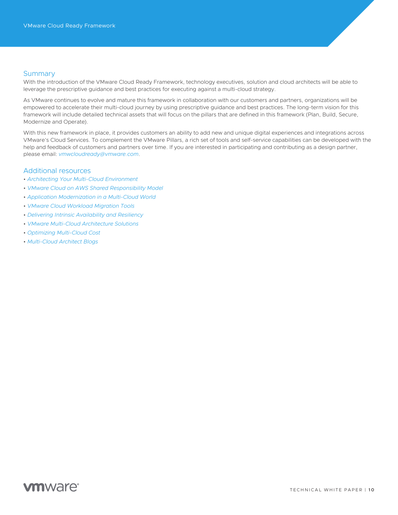# <span id="page-9-0"></span>**Summary**

With the introduction of the VMware Cloud Ready Framework, technology executives, solution and cloud architects will be able to leverage the prescriptive guidance and best practices for executing against a multi-cloud strategy.

As VMware continues to evolve and mature this framework in collaboration with our customers and partners, organizations will be empowered to accelerate their multi-cloud journey by using prescriptive guidance and best practices. The long-term vision for this framework will include detailed technical assets that will focus on the pillars that are defined in this framework (Plan, Build, Secure, Modernize and Operate).

With this new framework in place, it provides customers an ability to add new and unique digital experiences and integrations across VMware's Cloud Services. To complement the VMware Pillars, a rich set of tools and self-service capabilities can be developed with the help and feedback of customers and partners over time. If you are interested in participating and contributing as a design partner, please email: *[vmwcloudready@vmware.com](mailto:vmwcloudready%40vmware.com?subject=)*.

# Additional resources

- *[Architecting Your Multi-Cloud Environment](https://www.vmware.com/learn/597802_REG.html?cid=7012H000001KP1W&src=WWW_us_VMW_slc94PMTmAEd6NrJZi7B)*
- *[VMware Cloud on AWS Shared Responsibility Model](https://assets.contentstack.io/v3/assets/blt58b49a8a0e43b5ff/blt097d7d0985cc2e3c/5f68de70a4d7b56a23866d55/Shared_Responsibility_Model_Overview_for_VMware_Cloud_on_AWS_Whitepaper.pdf)*
- *[Application Modernization in a Multi-Cloud World](https://cloud.vmware.com/community/2020/03/12/new-report-app-modernization-multi-cloud-world/)*
- *[VMware Cloud Workload Migration Tools](https://assets.contentstack.io/v3/assets/blt58b49a8a0e43b5ff/blt41c2affe409de883/5fff769ef093203f68d435d6/VMware_Cloud_Workload_Migration_Tools_Whiepaper_V1.pdf)*
- *[Delivering Intrinsic Availability and Resiliency](https://assets.contentstack.io/v3/assets/blt58b49a8a0e43b5ff/blt33e9da5e363a7b47/5fb5aafc46f622769b5ef6fc/VMware_Cloud_on_AWS_Resiliency_and_Availability_Built-in_for_Peace_of_Mind.pdf)*
- *[VMware Multi-Cloud Architecture Solutions](https://www.vmware.com/solutions/multi-cloud-architecture.html#:~:text=VMware)*
- *[Optimizing Multi-Cloud Cost](https://www.cloudhealthtech.com/resources/solution-brief/leading-multicloud-management-platform)*
- *[Multi-Cloud Architect Blogs](https://cloud.vmware.com/community/cloud-architect/)*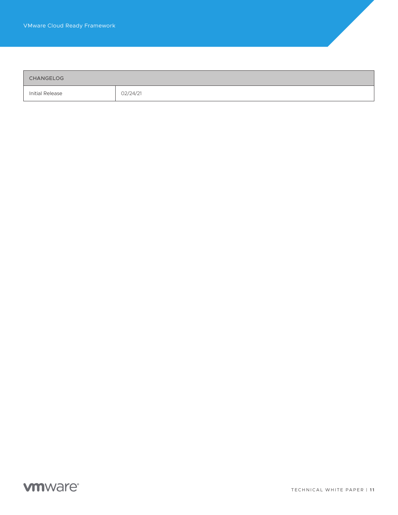<span id="page-10-0"></span>

| CHANGELOG       |          |
|-----------------|----------|
| Initial Release | 02/24/21 |

# **vm**ware<sup>®</sup>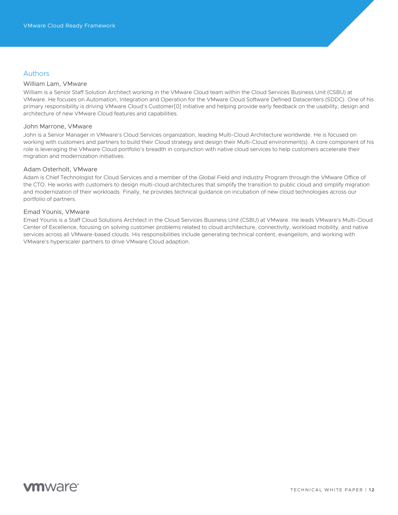# <span id="page-11-0"></span>Authors

# William Lam, VMware

William is a Senior Staff Solution Architect working in the VMware Cloud team within the Cloud Services Business Unit (CSBU) at VMware. He focuses on Automation, Integration and Operation for the VMware Cloud Software Defined Datacenters (SDDC). One of his primary responsibility is driving VMware Cloud's Customer[0] initiative and helping provide early feedback on the usability, design and architecture of new VMware Cloud features and capabilities.

# John Marrone, VMware

John is a Senior Manager in VMware's Cloud Services organization, leading Multi-Cloud Architecture worldwide. He is focused on working with customers and partners to build their Cloud strategy and design their Multi-Cloud environment(s). A core component of his role is leveraging the VMware Cloud portfolio's breadth in conjunction with native cloud services to help customers accelerate their migration and modernization initiatives.

# Adam Osterholt, VMware

Adam is Chief Technologist for Cloud Services and a member of the Global Field and Industry Program through the VMware Office of the CTO. He works with customers to design multi-cloud architectures that simplify the transition to public cloud and simplify migration and modernization of their workloads. Finally, he provides technical guidance on incubation of new cloud technologies across our portfolio of partners.

# Emad Younis, VMware

Emad Younis is a Staff Cloud Solutions Architect in the Cloud Services Business Unit (CSBU) at VMware. He leads VMware's Multi-Cloud Center of Excellence, focusing on solving customer problems related to cloud architecture, connectivity, workload mobility, and native services across all VMware-based clouds. His responsibilities include generating technical content, evangelism, and working with VMware's hyperscaler partners to drive VMware Cloud adaption.